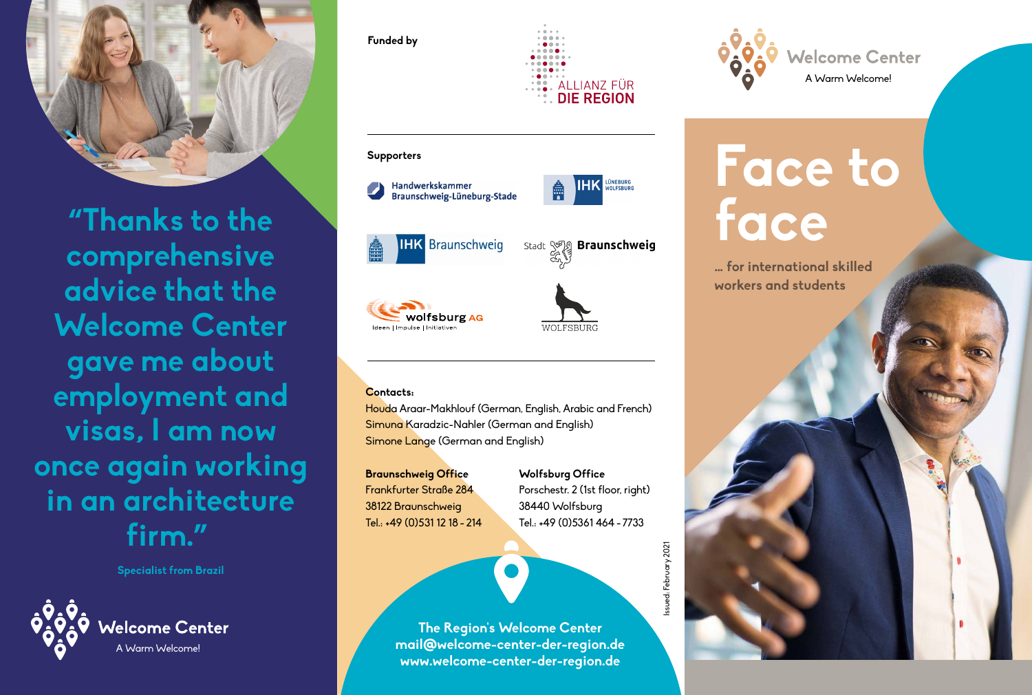

**"Thanks to the comprehensive advice that the Welcome Center gave me about employment and visas, I am now once again working in an architecture firm."**

**Specialist from Brazil**



## **Funded by** ALLIANZ FÜR





Houda Araar-Makhlouf (German, English, Arabic and French) Simuna Karadzic-Nahler (German and English) Simone Lange (German and English)

**Braunschweig Office** Frankfurter Straße 284 38122 Braunschweig Tel.: +49 (0)531 12 18 - 214

wolfsburg AG

**Wolfsburg Office** Porschestr. 2 (1st floor, right) 38440 Wolfsburg Tel.: +49 (0)5361 464 - 7733

**The Region's Welcome Center mail@welcome-center-der-region.de www.welcome-center-der-region.de**



# **Face to face**

**… for international skilled workers and students**